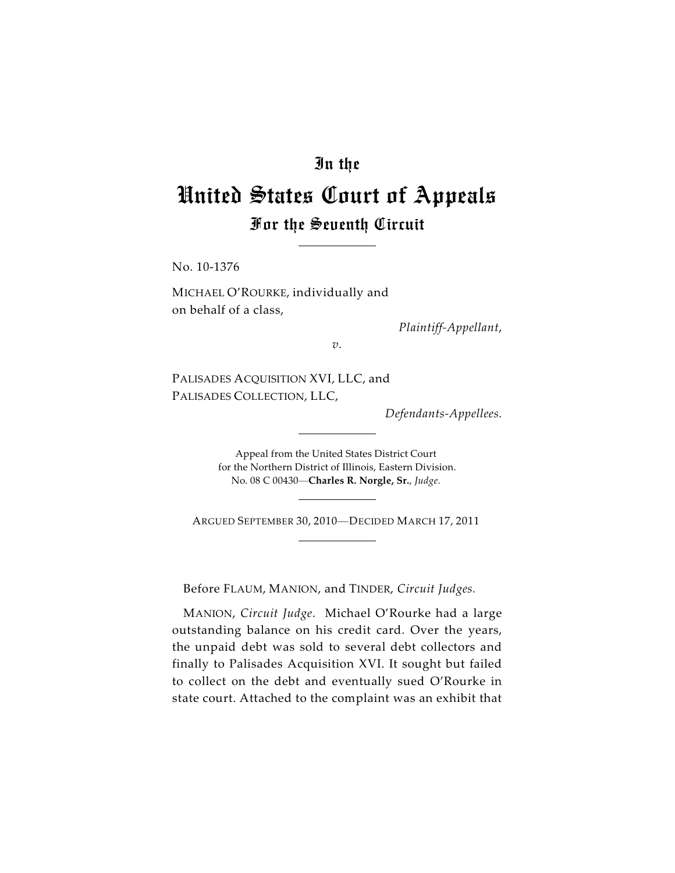## In the

## United States Court of Appeals For the Seventh Circuit

No. 10-1376

MICHAEL O'ROURKE, individually and on behalf of a class,

*Plaintiff-Appellant*,

*v.*

PALISADES ACQUISITION XVI, LLC, and PALISADES COLLECTION, LLC,

*Defendants-Appellees.*

Appeal from the United States District Court for the Northern District of Illinois, Eastern Division. No. 08 C 00430—**Charles R. Norgle, Sr.**, *Judge.*

ARGUED SEPTEMBER 30, 2010—DECIDED MARCH 17, 2011

Before FLAUM, MANION, and TINDER, *Circuit Judges.*

MANION, *Circuit Judge*. Michael O'Rourke had a large outstanding balance on his credit card. Over the years, the unpaid debt was sold to several debt collectors and finally to Palisades Acquisition XVI. It sought but failed to collect on the debt and eventually sued O'Rourke in state court. Attached to the complaint was an exhibit that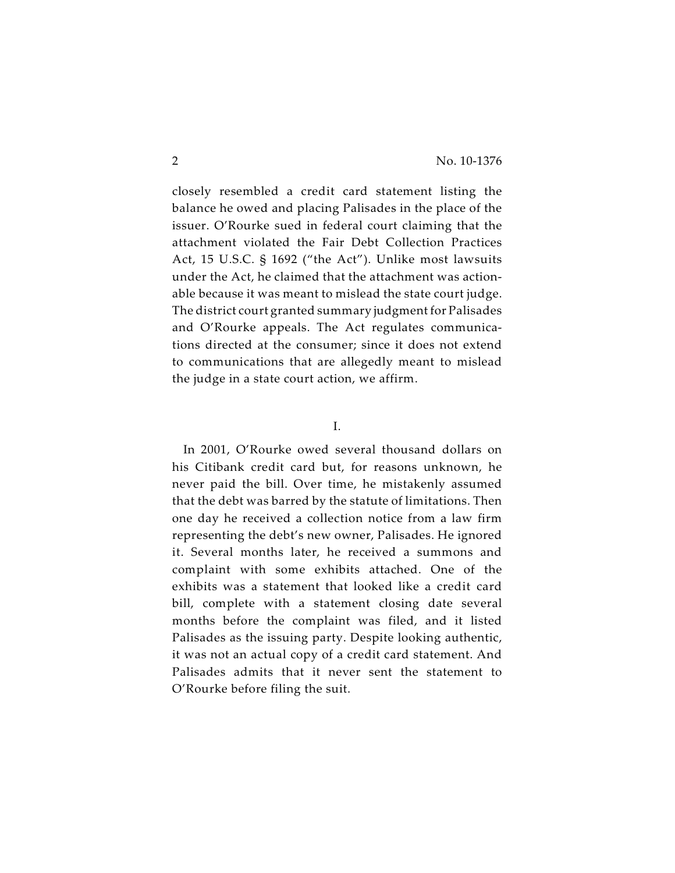closely resembled a credit card statement listing the balance he owed and placing Palisades in the place of the issuer. O'Rourke sued in federal court claiming that the attachment violated the Fair Debt Collection Practices Act, 15 U.S.C. § 1692 ("the Act"). Unlike most lawsuits under the Act, he claimed that the attachment was actionable because it was meant to mislead the state court judge. The district court granted summary judgment for Palisades and O'Rourke appeals. The Act regulates communications directed at the consumer; since it does not extend to communications that are allegedly meant to mislead the judge in a state court action, we affirm.

## I.

In 2001, O'Rourke owed several thousand dollars on his Citibank credit card but, for reasons unknown, he never paid the bill. Over time, he mistakenly assumed that the debt was barred by the statute of limitations. Then one day he received a collection notice from a law firm representing the debt's new owner, Palisades. He ignored it. Several months later, he received a summons and complaint with some exhibits attached. One of the exhibits was a statement that looked like a credit card bill, complete with a statement closing date several months before the complaint was filed, and it listed Palisades as the issuing party. Despite looking authentic, it was not an actual copy of a credit card statement. And Palisades admits that it never sent the statement to O'Rourke before filing the suit.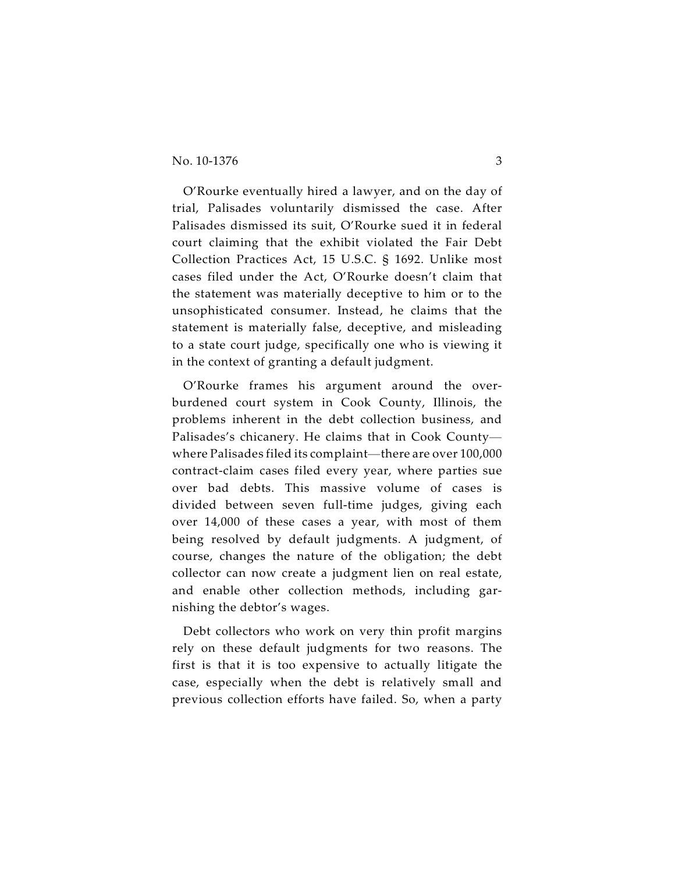O'Rourke eventually hired a lawyer, and on the day of trial, Palisades voluntarily dismissed the case. After Palisades dismissed its suit, O'Rourke sued it in federal court claiming that the exhibit violated the Fair Debt Collection Practices Act, 15 U.S.C. § 1692. Unlike most cases filed under the Act, O'Rourke doesn't claim that the statement was materially deceptive to him or to the unsophisticated consumer. Instead, he claims that the statement is materially false, deceptive, and misleading to a state court judge, specifically one who is viewing it in the context of granting a default judgment.

O'Rourke frames his argument around the overburdened court system in Cook County, Illinois, the problems inherent in the debt collection business, and Palisades's chicanery. He claims that in Cook County where Palisades filed its complaint—there are over 100,000 contract-claim cases filed every year, where parties sue over bad debts. This massive volume of cases is divided between seven full-time judges, giving each over 14,000 of these cases a year, with most of them being resolved by default judgments. A judgment, of course, changes the nature of the obligation; the debt collector can now create a judgment lien on real estate, and enable other collection methods, including garnishing the debtor's wages.

Debt collectors who work on very thin profit margins rely on these default judgments for two reasons. The first is that it is too expensive to actually litigate the case, especially when the debt is relatively small and previous collection efforts have failed. So, when a party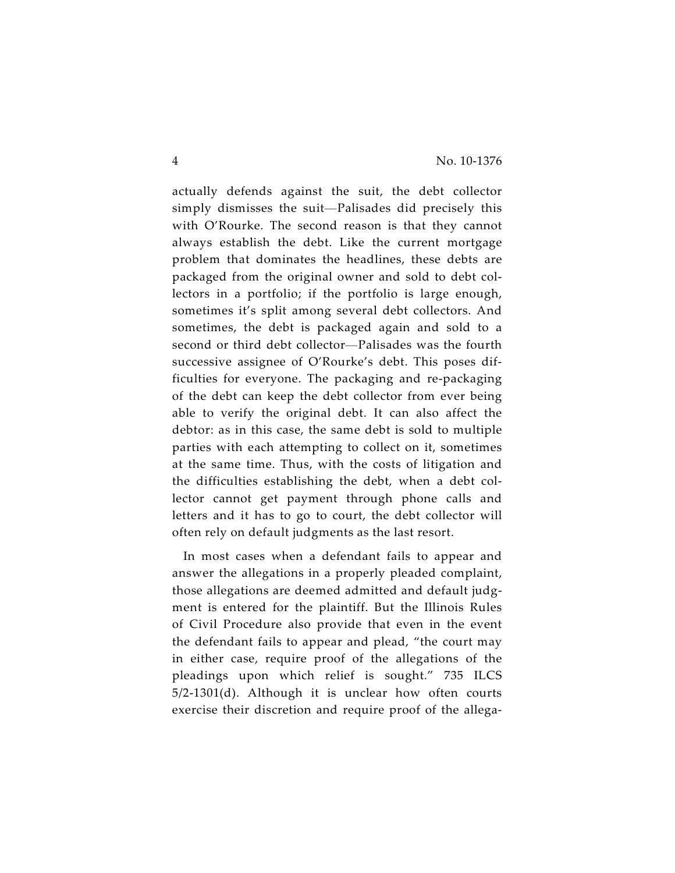actually defends against the suit, the debt collector simply dismisses the suit—Palisades did precisely this with O'Rourke. The second reason is that they cannot always establish the debt. Like the current mortgage problem that dominates the headlines, these debts are packaged from the original owner and sold to debt collectors in a portfolio; if the portfolio is large enough, sometimes it's split among several debt collectors. And sometimes, the debt is packaged again and sold to a second or third debt collector—Palisades was the fourth successive assignee of O'Rourke's debt. This poses difficulties for everyone. The packaging and re-packaging of the debt can keep the debt collector from ever being able to verify the original debt. It can also affect the debtor: as in this case, the same debt is sold to multiple parties with each attempting to collect on it, sometimes at the same time. Thus, with the costs of litigation and the difficulties establishing the debt, when a debt collector cannot get payment through phone calls and letters and it has to go to court, the debt collector will often rely on default judgments as the last resort.

In most cases when a defendant fails to appear and answer the allegations in a properly pleaded complaint, those allegations are deemed admitted and default judgment is entered for the plaintiff. But the Illinois Rules of Civil Procedure also provide that even in the event the defendant fails to appear and plead, "the court may in either case, require proof of the allegations of the pleadings upon which relief is sought." 735 ILCS 5/2-1301(d). Although it is unclear how often courts exercise their discretion and require proof of the allega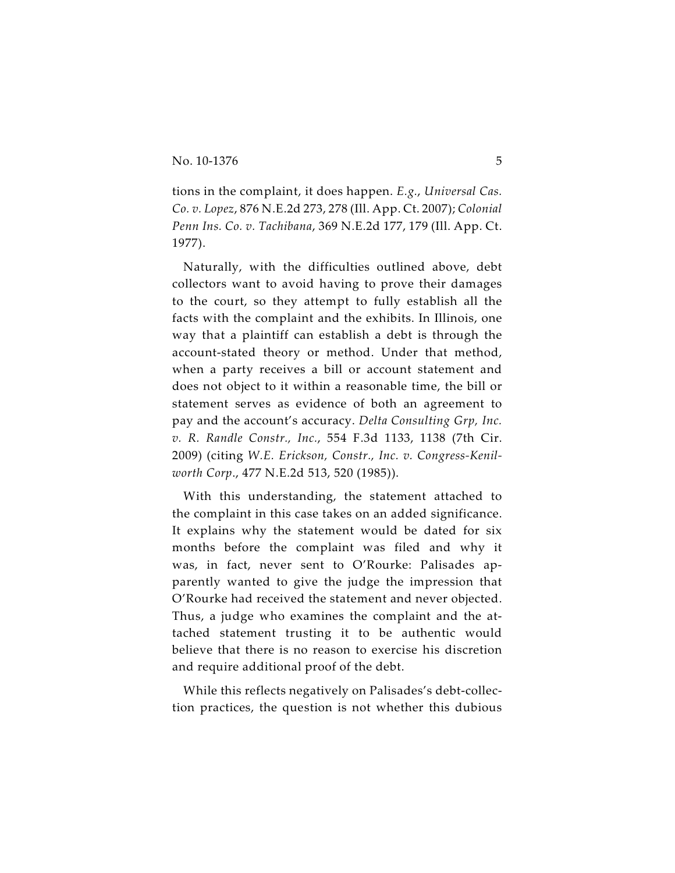tions in the complaint, it does happen. *E.g.*, *Universal Cas. Co. v. Lopez*, 876 N.E.2d 273, 278 (Ill. App. Ct. 2007); *Colonial Penn Ins. Co. v. Tachibana*, 369 N.E.2d 177, 179 (Ill. App. Ct. 1977).

Naturally, with the difficulties outlined above, debt collectors want to avoid having to prove their damages to the court, so they attempt to fully establish all the facts with the complaint and the exhibits. In Illinois, one way that a plaintiff can establish a debt is through the account-stated theory or method. Under that method, when a party receives a bill or account statement and does not object to it within a reasonable time, the bill or statement serves as evidence of both an agreement to pay and the account's accuracy. *Delta Consulting Grp, Inc. v. R. Randle Constr., Inc.*, 554 F.3d 1133, 1138 (7th Cir. 2009) (citing *W.E. Erickson, Constr., Inc. v. Congress-Kenilworth Corp*., 477 N.E.2d 513, 520 (1985)).

With this understanding, the statement attached to the complaint in this case takes on an added significance. It explains why the statement would be dated for six months before the complaint was filed and why it was, in fact, never sent to O'Rourke: Palisades apparently wanted to give the judge the impression that O'Rourke had received the statement and never objected. Thus, a judge who examines the complaint and the attached statement trusting it to be authentic would believe that there is no reason to exercise his discretion and require additional proof of the debt.

While this reflects negatively on Palisades's debt-collection practices, the question is not whether this dubious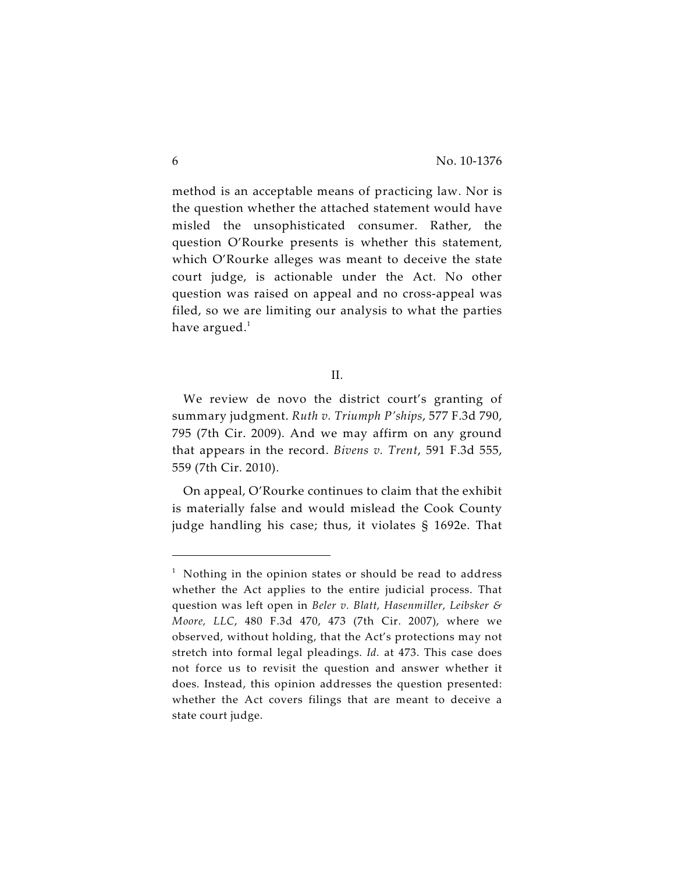method is an acceptable means of practicing law. Nor is the question whether the attached statement would have misled the unsophisticated consumer. Rather, the question O'Rourke presents is whether this statement, which O'Rourke alleges was meant to deceive the state court judge, is actionable under the Act. No other question was raised on appeal and no cross-appeal was filed, so we are limiting our analysis to what the parties have argued. $<sup>1</sup>$ </sup>

We review de novo the district court's granting of summary judgment. *Ruth v. Triumph P'ships*, 577 F.3d 790, 795 (7th Cir. 2009). And we may affirm on any ground that appears in the record. *Bivens v. Trent*, 591 F.3d 555, 559 (7th Cir. 2010).

On appeal, O'Rourke continues to claim that the exhibit is materially false and would mislead the Cook County judge handling his case; thus, it violates § 1692e. That

II.

 $1$  Nothing in the opinion states or should be read to address whether the Act applies to the entire judicial process. That question was left open in *Beler v. Blatt, Hasenmiller, Leibsker & Moore, LLC*, 480 F.3d 470, 473 (7th Cir. 2007), where we observed, without holding, that the Act's protections may not stretch into formal legal pleadings. *Id.* at 473. This case does not force us to revisit the question and answer whether it does. Instead, this opinion addresses the question presented: whether the Act covers filings that are meant to deceive a state court judge.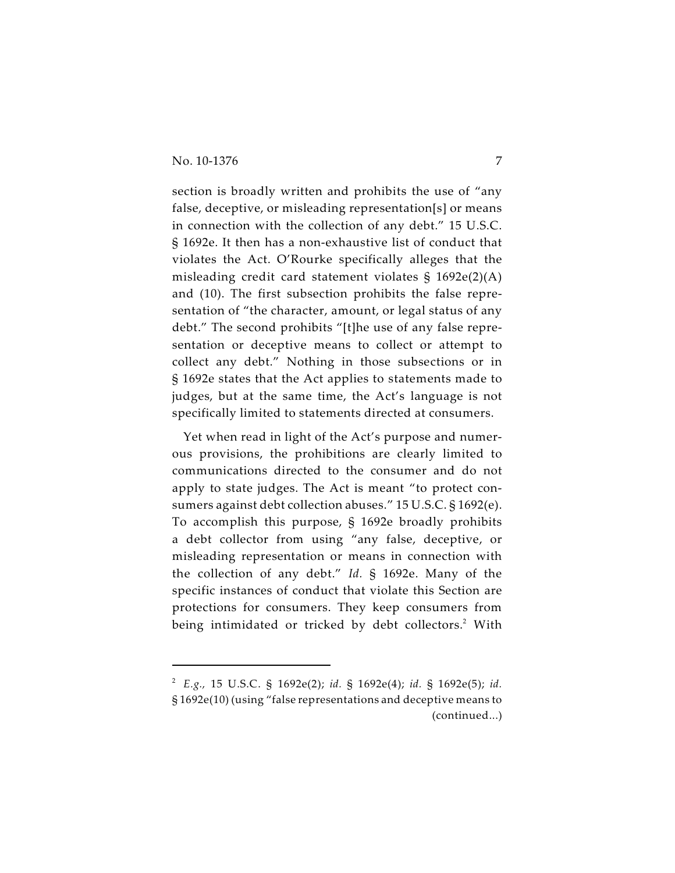section is broadly written and prohibits the use of "any false, deceptive, or misleading representation[s] or means in connection with the collection of any debt." 15 U.S.C. § 1692e. It then has a non-exhaustive list of conduct that violates the Act. O'Rourke specifically alleges that the misleading credit card statement violates § 1692e(2)(A) and (10). The first subsection prohibits the false representation of "the character, amount, or legal status of any debt." The second prohibits "[t]he use of any false representation or deceptive means to collect or attempt to collect any debt." Nothing in those subsections or in § 1692e states that the Act applies to statements made to judges, but at the same time, the Act's language is not specifically limited to statements directed at consumers.

Yet when read in light of the Act's purpose and numerous provisions, the prohibitions are clearly limited to communications directed to the consumer and do not apply to state judges. The Act is meant "to protect consumers against debt collection abuses." 15 U.S.C. § 1692(e). To accomplish this purpose, § 1692e broadly prohibits a debt collector from using "any false, deceptive, or misleading representation or means in connection with the collection of any debt." *Id.* § 1692e. Many of the specific instances of conduct that violate this Section are protections for consumers. They keep consumers from being intimidated or tricked by debt collectors.<sup>2</sup> With

*E.g.,* 15 U.S.C. § 1692e(2); *id.* § 1692e(4); *id.* § 1692e(5); *id.* <sup>2</sup> § 1692e(10) (using "false representations and deceptive means to (continued...)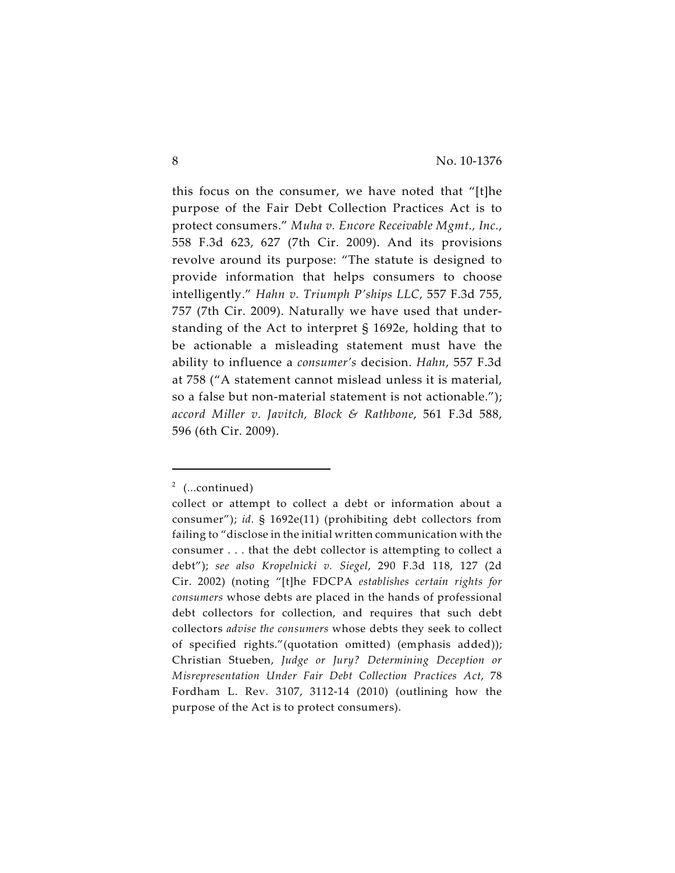this focus on the consumer, we have noted that "[t]he purpose of the Fair Debt Collection Practices Act is to protect consumers." *Muha v. Encore Receivable Mgmt., Inc.*, 558 F.3d 623, 627 (7th Cir. 2009). And its provisions revolve around its purpose: "The statute is designed to provide information that helps consumers to choose intelligently." *Hahn v. Triumph P'ships LLC*, 557 F.3d 755, 757 (7th Cir. 2009). Naturally we have used that understanding of the Act to interpret § 1692e, holding that to be actionable a misleading statement must have the ability to influence a *consumer's* decision. *Hahn*, 557 F.3d at 758 ("A statement cannot mislead unless it is material, so a false but non-material statement is not actionable."); *accord Miller v. Javitch, Block & Rathbone*, 561 F.3d 588, 596 (6th Cir. 2009).

 $2$  (...continued)

collect or attempt to collect a debt or information about a consumer"); *id.* § 1692e(11) (prohibiting debt collectors from failing to "disclose in the initial written communication with the consumer . . . that the debt collector is attempting to collect a debt"); *see also Kropelnicki v. Siegel*, 290 F.3d 118, 127 (2d Cir. 2002) (noting "[t]he FDCPA *establishes certain rights for consumers* whose debts are placed in the hands of professional debt collectors for collection, and requires that such debt collectors *advise the consumers* whose debts they seek to collect of specified rights."(quotation omitted) (emphasis added)); Christian Stueben, *Judge or Jury? Determining Deception or Misrepresentation Under Fair Debt Collection Practices Act*, 78 Fordham L. Rev. 3107, 3112-14 (2010) (outlining how the purpose of the Act is to protect consumers).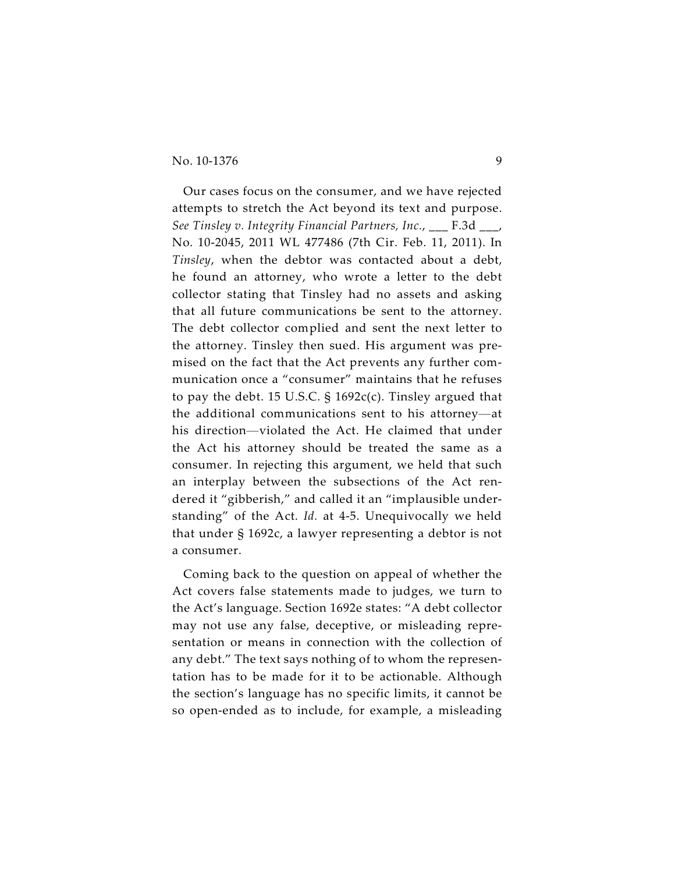Our cases focus on the consumer, and we have rejected attempts to stretch the Act beyond its text and purpose. *See Tinsley v. Integrity Financial Partners, Inc.*, \_\_\_ F.3d \_\_\_, No. 10-2045, 2011 WL 477486 (7th Cir. Feb. 11, 2011). In *Tinsley*, when the debtor was contacted about a debt, he found an attorney, who wrote a letter to the debt collector stating that Tinsley had no assets and asking that all future communications be sent to the attorney. The debt collector complied and sent the next letter to the attorney. Tinsley then sued. His argument was premised on the fact that the Act prevents any further communication once a "consumer" maintains that he refuses to pay the debt. 15 U.S.C.  $\S$  1692c(c). Tinsley argued that the additional communications sent to his attorney—at his direction—violated the Act. He claimed that under the Act his attorney should be treated the same as a consumer. In rejecting this argument, we held that such an interplay between the subsections of the Act rendered it "gibberish," and called it an "implausible understanding" of the Act. *Id.* at 4-5. Unequivocally we held that under § 1692c, a lawyer representing a debtor is not a consumer.

Coming back to the question on appeal of whether the Act covers false statements made to judges, we turn to the Act's language. Section 1692e states: "A debt collector may not use any false, deceptive, or misleading representation or means in connection with the collection of any debt." The text says nothing of to whom the representation has to be made for it to be actionable. Although the section's language has no specific limits, it cannot be so open-ended as to include, for example, a misleading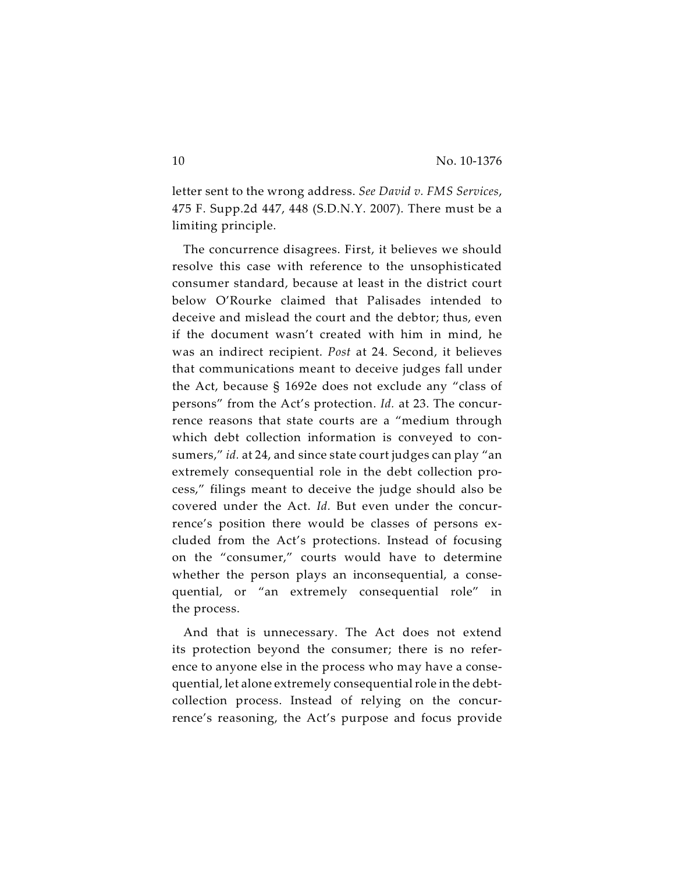letter sent to the wrong address. *See David v. FMS Services*, 475 F. Supp.2d 447, 448 (S.D.N.Y. 2007). There must be a limiting principle.

The concurrence disagrees. First, it believes we should resolve this case with reference to the unsophisticated consumer standard, because at least in the district court below O'Rourke claimed that Palisades intended to deceive and mislead the court and the debtor; thus, even if the document wasn't created with him in mind, he was an indirect recipient. *Post* at 24. Second, it believes that communications meant to deceive judges fall under the Act, because § 1692e does not exclude any "class of persons" from the Act's protection. *Id.* at 23. The concurrence reasons that state courts are a "medium through which debt collection information is conveyed to consumers," *id.* at 24, and since state court judges can play "an extremely consequential role in the debt collection process," filings meant to deceive the judge should also be covered under the Act. *Id.* But even under the concurrence's position there would be classes of persons excluded from the Act's protections. Instead of focusing on the "consumer," courts would have to determine whether the person plays an inconsequential, a consequential, or "an extremely consequential role" in the process.

And that is unnecessary. The Act does not extend its protection beyond the consumer; there is no reference to anyone else in the process who may have a consequential, let alone extremely consequential role in the debtcollection process. Instead of relying on the concurrence's reasoning, the Act's purpose and focus provide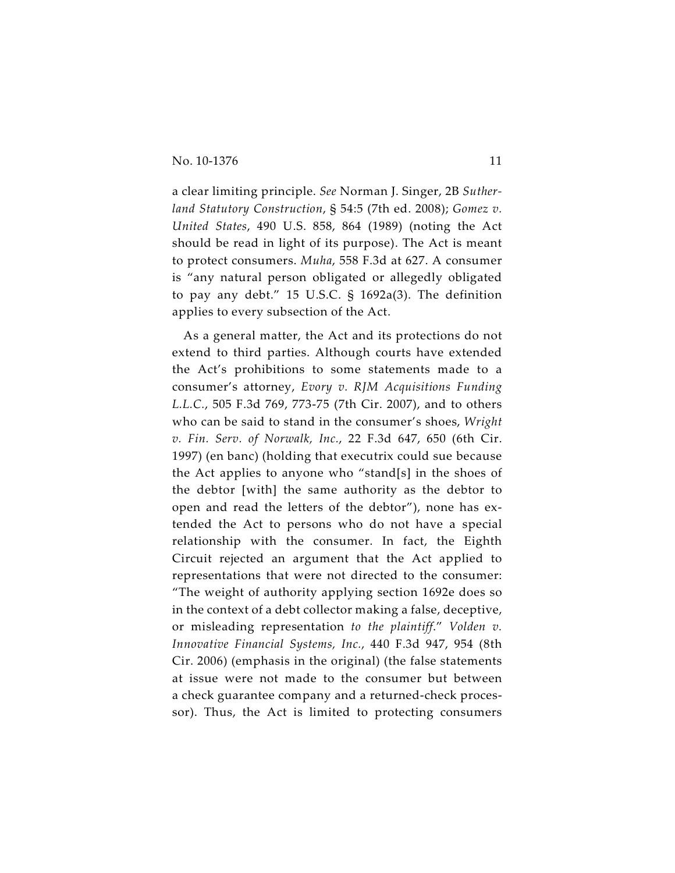a clear limiting principle. *See* Norman J. Singer, 2B *Sutherland Statutory Construction*, § 54:5 (7th ed. 2008); *Gomez v. United States*, 490 U.S. 858, 864 (1989) (noting the Act should be read in light of its purpose). The Act is meant to protect consumers. *Muha*, 558 F.3d at 627. A consumer is "any natural person obligated or allegedly obligated to pay any debt." 15 U.S.C. § 1692a(3). The definition applies to every subsection of the Act.

As a general matter, the Act and its protections do not extend to third parties. Although courts have extended the Act's prohibitions to some statements made to a consumer's attorney, *Evory v. RJM Acquisitions Funding L.L.C.*, 505 F.3d 769, 773-75 (7th Cir. 2007), and to others who can be said to stand in the consumer's shoes, *Wright v. Fin. Serv. of Norwalk, Inc.*, 22 F.3d 647, 650 (6th Cir. 1997) (en banc) (holding that executrix could sue because the Act applies to anyone who "stand[s] in the shoes of the debtor [with] the same authority as the debtor to open and read the letters of the debtor"), none has extended the Act to persons who do not have a special relationship with the consumer. In fact, the Eighth Circuit rejected an argument that the Act applied to representations that were not directed to the consumer: "The weight of authority applying section 1692e does so in the context of a debt collector making a false, deceptive, or misleading representation *to the plaintiff*." *Volden v. Innovative Financial Systems, Inc.*, 440 F.3d 947, 954 (8th Cir. 2006) (emphasis in the original) (the false statements at issue were not made to the consumer but between a check guarantee company and a returned-check processor). Thus, the Act is limited to protecting consumers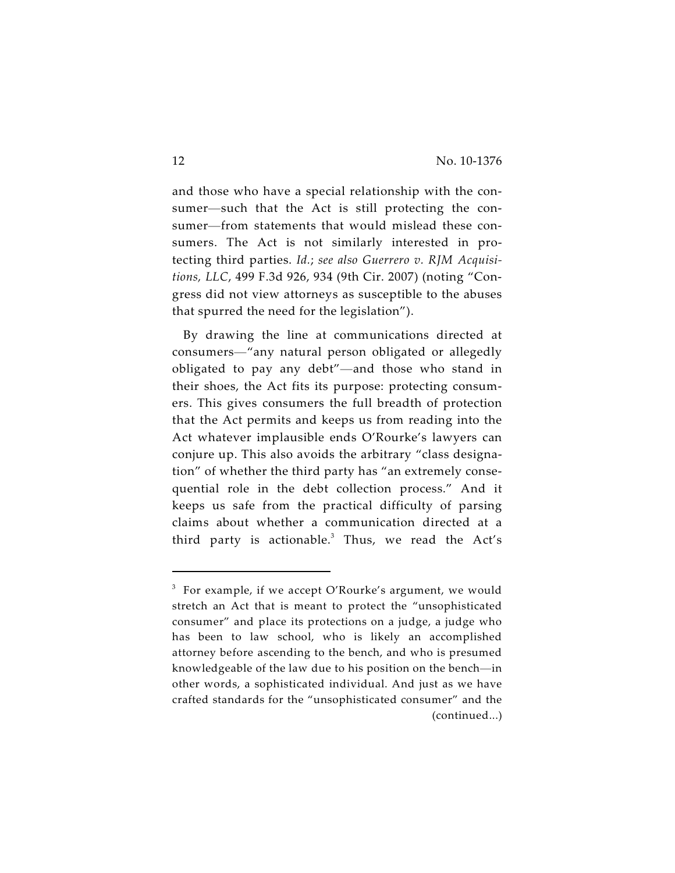and those who have a special relationship with the consumer—such that the Act is still protecting the consumer—from statements that would mislead these consumers. The Act is not similarly interested in protecting third parties. *Id.*; *see also Guerrero v. RJM Acquisitions, LLC*, 499 F.3d 926, 934 (9th Cir. 2007) (noting "Congress did not view attorneys as susceptible to the abuses that spurred the need for the legislation").

By drawing the line at communications directed at consumers—"any natural person obligated or allegedly obligated to pay any debt"—and those who stand in their shoes, the Act fits its purpose: protecting consumers. This gives consumers the full breadth of protection that the Act permits and keeps us from reading into the Act whatever implausible ends O'Rourke's lawyers can conjure up. This also avoids the arbitrary "class designation" of whether the third party has "an extremely consequential role in the debt collection process." And it keeps us safe from the practical difficulty of parsing claims about whether a communication directed at a third party is actionable. $3$  Thus, we read the Act's

 $3$  For example, if we accept O'Rourke's argument, we would stretch an Act that is meant to protect the "unsophisticated consumer" and place its protections on a judge, a judge who has been to law school, who is likely an accomplished attorney before ascending to the bench, and who is presumed knowledgeable of the law due to his position on the bench—in other words, a sophisticated individual. And just as we have crafted standards for the "unsophisticated consumer" and the (continued...)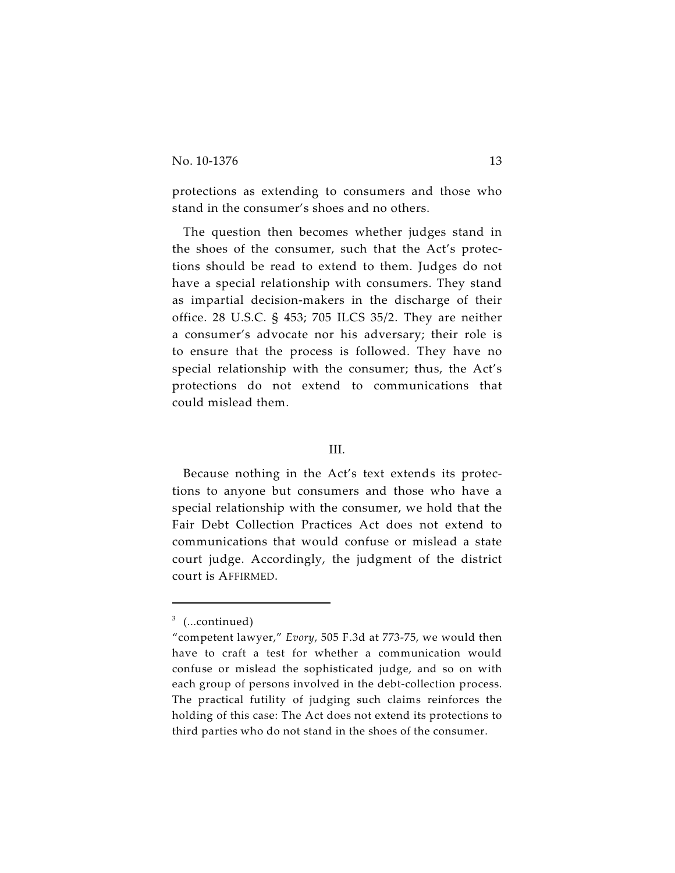protections as extending to consumers and those who stand in the consumer's shoes and no others.

The question then becomes whether judges stand in the shoes of the consumer, such that the Act's protections should be read to extend to them. Judges do not have a special relationship with consumers. They stand as impartial decision-makers in the discharge of their office. 28 U.S.C. § 453; 705 ILCS 35/2. They are neither a consumer's advocate nor his adversary; their role is to ensure that the process is followed. They have no special relationship with the consumer; thus, the Act's protections do not extend to communications that could mislead them.

## III.

Because nothing in the Act's text extends its protections to anyone but consumers and those who have a special relationship with the consumer, we hold that the Fair Debt Collection Practices Act does not extend to communications that would confuse or mislead a state court judge. Accordingly, the judgment of the district court is AFFIRMED.

 $3$  (...continued)

<sup>&</sup>quot;competent lawyer," *Evory*, 505 F.3d at 773-75, we would then have to craft a test for whether a communication would confuse or mislead the sophisticated judge, and so on with each group of persons involved in the debt-collection process. The practical futility of judging such claims reinforces the holding of this case: The Act does not extend its protections to third parties who do not stand in the shoes of the consumer.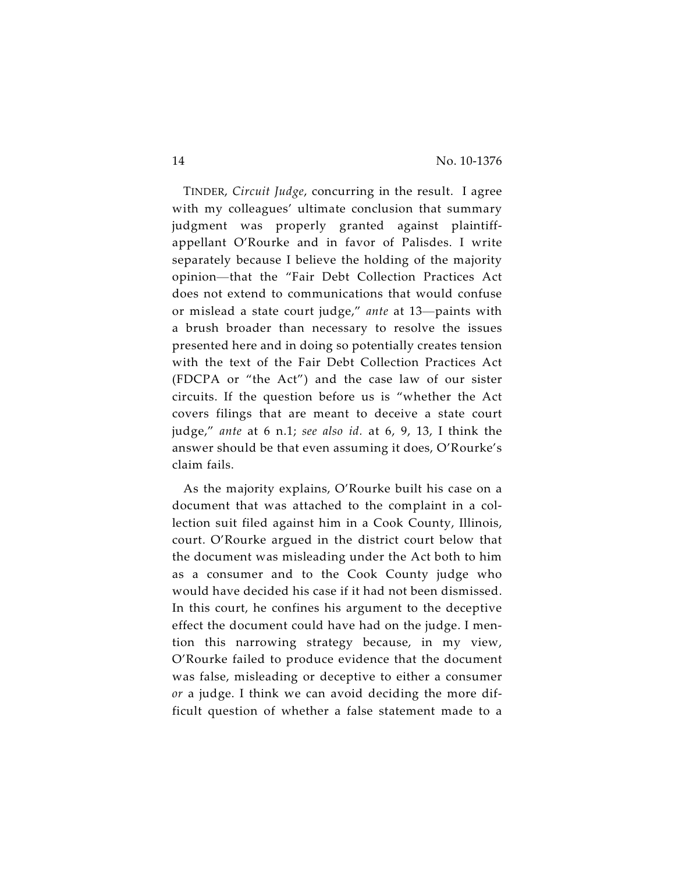TINDER, *Circuit Judge*, concurring in the result. I agree with my colleagues' ultimate conclusion that summary judgment was properly granted against plaintiffappellant O'Rourke and in favor of Palisdes. I write separately because I believe the holding of the majority opinion—that the "Fair Debt Collection Practices Act does not extend to communications that would confuse or mislead a state court judge," *ante* at 13—paints with a brush broader than necessary to resolve the issues presented here and in doing so potentially creates tension with the text of the Fair Debt Collection Practices Act (FDCPA or "the Act") and the case law of our sister circuits. If the question before us is "whether the Act covers filings that are meant to deceive a state court judge," *ante* at 6 n.1; *see also id.* at 6, 9, 13, I think the answer should be that even assuming it does, O'Rourke's claim fails.

As the majority explains, O'Rourke built his case on a document that was attached to the complaint in a collection suit filed against him in a Cook County, Illinois, court. O'Rourke argued in the district court below that the document was misleading under the Act both to him as a consumer and to the Cook County judge who would have decided his case if it had not been dismissed. In this court, he confines his argument to the deceptive effect the document could have had on the judge. I mention this narrowing strategy because, in my view, O'Rourke failed to produce evidence that the document was false, misleading or deceptive to either a consumer *or* a judge. I think we can avoid deciding the more difficult question of whether a false statement made to a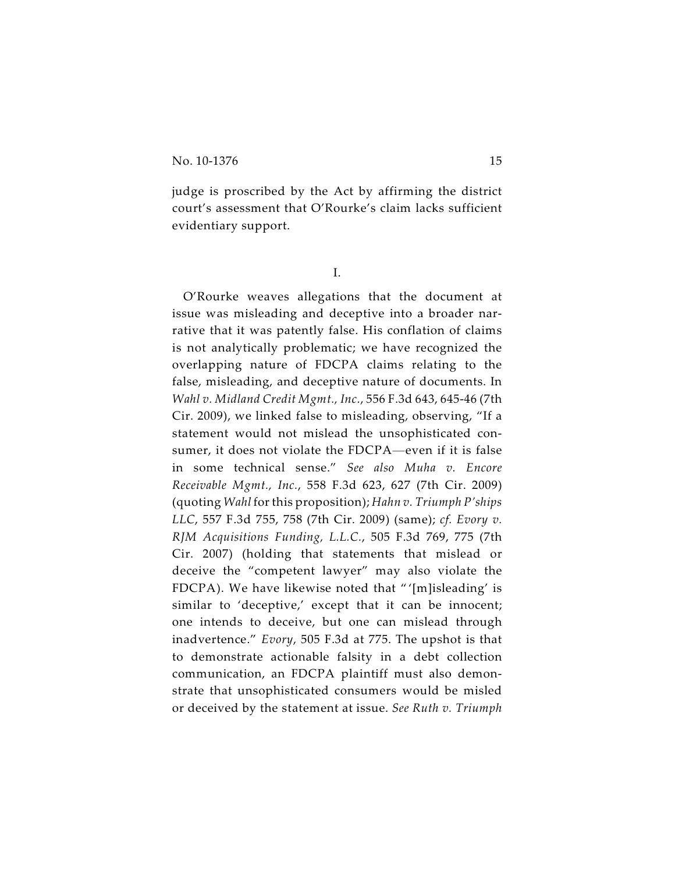judge is proscribed by the Act by affirming the district court's assessment that O'Rourke's claim lacks sufficient evidentiary support.

I.

O'Rourke weaves allegations that the document at issue was misleading and deceptive into a broader narrative that it was patently false. His conflation of claims is not analytically problematic; we have recognized the overlapping nature of FDCPA claims relating to the false, misleading, and deceptive nature of documents. In *Wahl v. Midland Credit Mgmt., Inc.*, 556 F.3d 643, 645-46 (7th Cir. 2009), we linked false to misleading, observing, "If a statement would not mislead the unsophisticated consumer, it does not violate the FDCPA—even if it is false in some technical sense." *See also Muha v. Encore Receivable Mgmt., Inc.*, 558 F.3d 623, 627 (7th Cir. 2009) (quoting *Wahl* for this proposition); *Hahn v. Triumph P'ships LLC*, 557 F.3d 755, 758 (7th Cir. 2009) (same); *cf. Evory v. RJM Acquisitions Funding, L.L.C.*, 505 F.3d 769, 775 (7th Cir. 2007) (holding that statements that mislead or deceive the "competent lawyer" may also violate the FDCPA). We have likewise noted that " '[m]isleading' is similar to 'deceptive,' except that it can be innocent; one intends to deceive, but one can mislead through inadvertence." *Evory*, 505 F.3d at 775. The upshot is that to demonstrate actionable falsity in a debt collection communication, an FDCPA plaintiff must also demonstrate that unsophisticated consumers would be misled or deceived by the statement at issue. *See Ruth v. Triumph*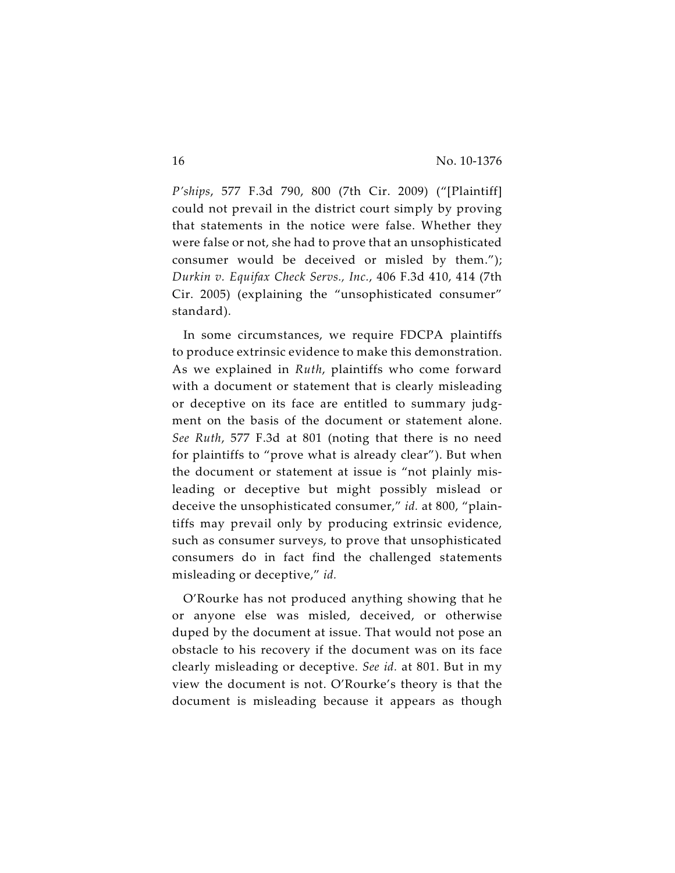*P'ships*, 577 F.3d 790, 800 (7th Cir. 2009) ("[Plaintiff] could not prevail in the district court simply by proving that statements in the notice were false. Whether they were false or not, she had to prove that an unsophisticated consumer would be deceived or misled by them."); *Durkin v. Equifax Check Servs., Inc.*, 406 F.3d 410, 414 (7th Cir. 2005) (explaining the "unsophisticated consumer" standard).

In some circumstances, we require FDCPA plaintiffs to produce extrinsic evidence to make this demonstration. As we explained in *Ruth*, plaintiffs who come forward with a document or statement that is clearly misleading or deceptive on its face are entitled to summary judgment on the basis of the document or statement alone. *See Ruth*, 577 F.3d at 801 (noting that there is no need for plaintiffs to "prove what is already clear"). But when the document or statement at issue is "not plainly misleading or deceptive but might possibly mislead or deceive the unsophisticated consumer," *id.* at 800, "plaintiffs may prevail only by producing extrinsic evidence, such as consumer surveys, to prove that unsophisticated consumers do in fact find the challenged statements misleading or deceptive," *id.*

O'Rourke has not produced anything showing that he or anyone else was misled, deceived, or otherwise duped by the document at issue. That would not pose an obstacle to his recovery if the document was on its face clearly misleading or deceptive. *See id.* at 801. But in my view the document is not. O'Rourke's theory is that the document is misleading because it appears as though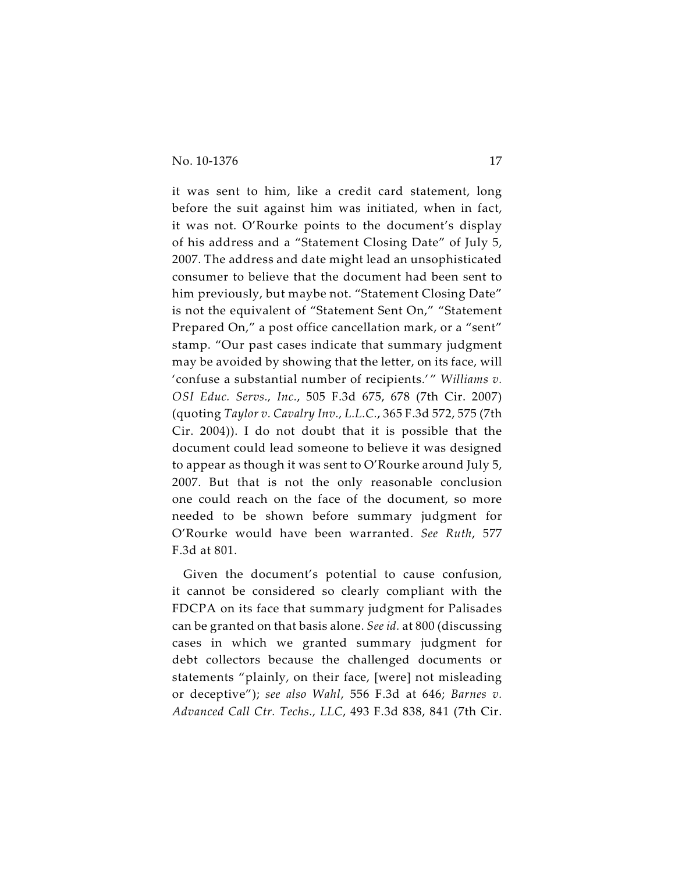it was sent to him, like a credit card statement, long before the suit against him was initiated, when in fact, it was not. O'Rourke points to the document's display of his address and a "Statement Closing Date" of July 5, 2007. The address and date might lead an unsophisticated consumer to believe that the document had been sent to him previously, but maybe not. "Statement Closing Date" is not the equivalent of "Statement Sent On," "Statement Prepared On," a post office cancellation mark, or a "sent" stamp. "Our past cases indicate that summary judgment may be avoided by showing that the letter, on its face, will 'confuse a substantial number of recipients.' " *Williams v. OSI Educ. Servs., Inc.*, 505 F.3d 675, 678 (7th Cir. 2007) (quoting *Taylor v. Cavalry Inv., L.L.C.*, 365 F.3d 572, 575 (7th Cir. 2004)). I do not doubt that it is possible that the document could lead someone to believe it was designed to appear as though it was sent to O'Rourke around July 5, 2007. But that is not the only reasonable conclusion one could reach on the face of the document, so more needed to be shown before summary judgment for O'Rourke would have been warranted. *See Ruth*, 577 F.3d at 801.

Given the document's potential to cause confusion, it cannot be considered so clearly compliant with the FDCPA on its face that summary judgment for Palisades can be granted on that basis alone. *See id.* at 800 (discussing cases in which we granted summary judgment for debt collectors because the challenged documents or statements "plainly, on their face, [were] not misleading or deceptive"); *see also Wahl*, 556 F.3d at 646; *Barnes v. Advanced Call Ctr. Techs., LLC*, 493 F.3d 838, 841 (7th Cir.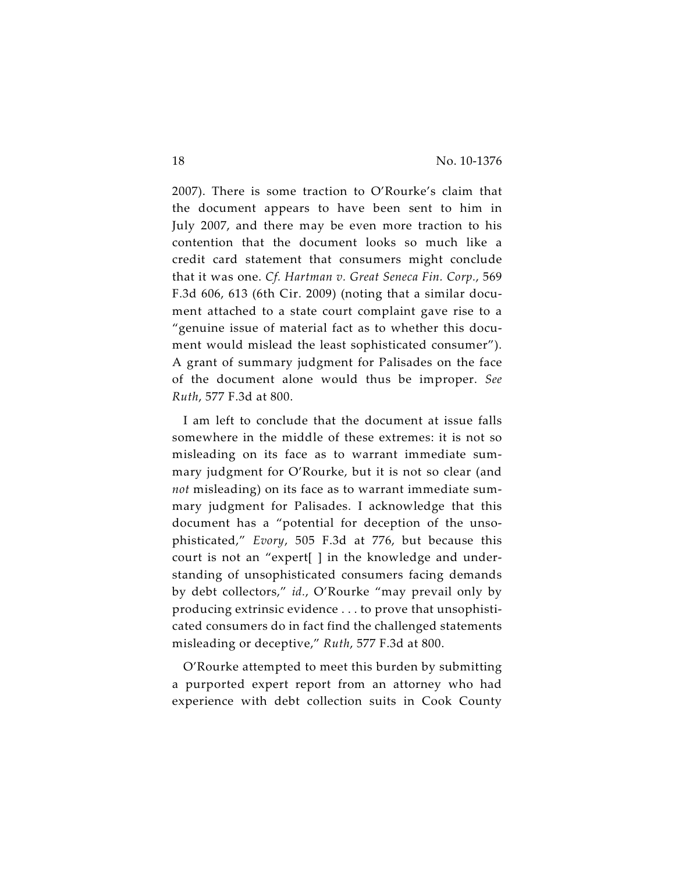2007). There is some traction to O'Rourke's claim that the document appears to have been sent to him in July 2007, and there may be even more traction to his contention that the document looks so much like a credit card statement that consumers might conclude that it was one. *Cf. Hartman v. Great Seneca Fin. Corp.*, 569 F.3d 606, 613 (6th Cir. 2009) (noting that a similar document attached to a state court complaint gave rise to a "genuine issue of material fact as to whether this document would mislead the least sophisticated consumer"). A grant of summary judgment for Palisades on the face of the document alone would thus be improper. *See Ruth*, 577 F.3d at 800.

I am left to conclude that the document at issue falls somewhere in the middle of these extremes: it is not so misleading on its face as to warrant immediate summary judgment for O'Rourke, but it is not so clear (and *not* misleading) on its face as to warrant immediate summary judgment for Palisades. I acknowledge that this document has a "potential for deception of the unsophisticated," *Evory*, 505 F.3d at 776, but because this court is not an "expert[ ] in the knowledge and understanding of unsophisticated consumers facing demands by debt collectors," *id.*, O'Rourke "may prevail only by producing extrinsic evidence . . . to prove that unsophisticated consumers do in fact find the challenged statements misleading or deceptive," *Ruth*, 577 F.3d at 800.

O'Rourke attempted to meet this burden by submitting a purported expert report from an attorney who had experience with debt collection suits in Cook County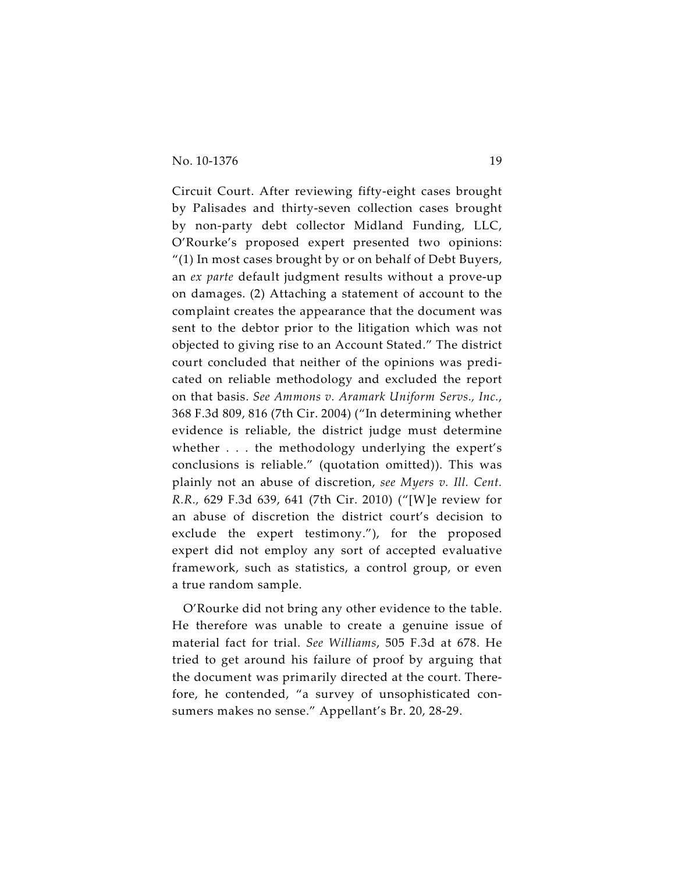Circuit Court. After reviewing fifty-eight cases brought by Palisades and thirty-seven collection cases brought by non-party debt collector Midland Funding, LLC, O'Rourke's proposed expert presented two opinions: "(1) In most cases brought by or on behalf of Debt Buyers, an *ex parte* default judgment results without a prove-up on damages. (2) Attaching a statement of account to the complaint creates the appearance that the document was sent to the debtor prior to the litigation which was not objected to giving rise to an Account Stated." The district court concluded that neither of the opinions was predicated on reliable methodology and excluded the report on that basis. *See Ammons v. Aramark Uniform Servs., Inc.*, 368 F.3d 809, 816 (7th Cir. 2004) ("In determining whether evidence is reliable, the district judge must determine whether . . . the methodology underlying the expert's conclusions is reliable." (quotation omitted)). This was plainly not an abuse of discretion, *see Myers v. Ill. Cent. R.R.,* 629 F.3d 639, 641 (7th Cir. 2010) ("[W]e review for an abuse of discretion the district court's decision to exclude the expert testimony."), for the proposed expert did not employ any sort of accepted evaluative framework, such as statistics, a control group, or even a true random sample.

O'Rourke did not bring any other evidence to the table. He therefore was unable to create a genuine issue of material fact for trial. *See Williams*, 505 F.3d at 678. He tried to get around his failure of proof by arguing that the document was primarily directed at the court. Therefore, he contended, "a survey of unsophisticated consumers makes no sense." Appellant's Br. 20, 28-29.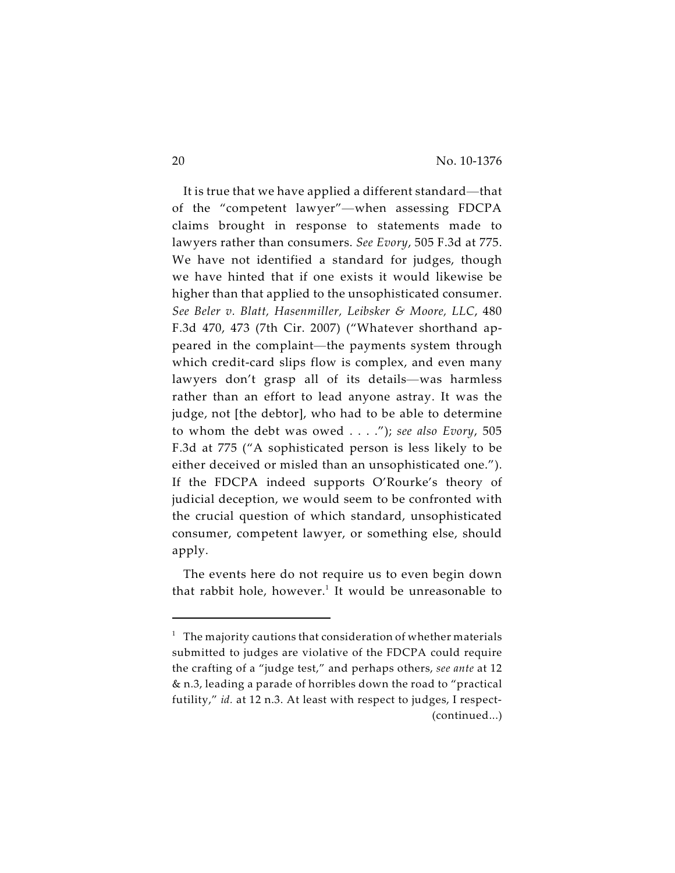It is true that we have applied a different standard—that of the "competent lawyer"—when assessing FDCPA claims brought in response to statements made to lawyers rather than consumers. *See Evory*, 505 F.3d at 775. We have not identified a standard for judges, though we have hinted that if one exists it would likewise be higher than that applied to the unsophisticated consumer. *See Beler v. Blatt, Hasenmiller, Leibsker & Moore, LLC*, 480 F.3d 470, 473 (7th Cir. 2007) ("Whatever shorthand appeared in the complaint—the payments system through which credit-card slips flow is complex, and even many lawyers don't grasp all of its details—was harmless rather than an effort to lead anyone astray. It was the judge, not [the debtor], who had to be able to determine to whom the debt was owed . . . ."); *see also Evory*, 505 F.3d at 775 ("A sophisticated person is less likely to be either deceived or misled than an unsophisticated one."). If the FDCPA indeed supports O'Rourke's theory of judicial deception, we would seem to be confronted with the crucial question of which standard, unsophisticated consumer, competent lawyer, or something else, should apply.

The events here do not require us to even begin down that rabbit hole, however. $^1$  It would be unreasonable to

 $1$  The majority cautions that consideration of whether materials submitted to judges are violative of the FDCPA could require the crafting of a "judge test," and perhaps others, *see ante* at 12 & n.3, leading a parade of horribles down the road to "practical futility," *id.* at 12 n.3. At least with respect to judges, I respect- (continued...)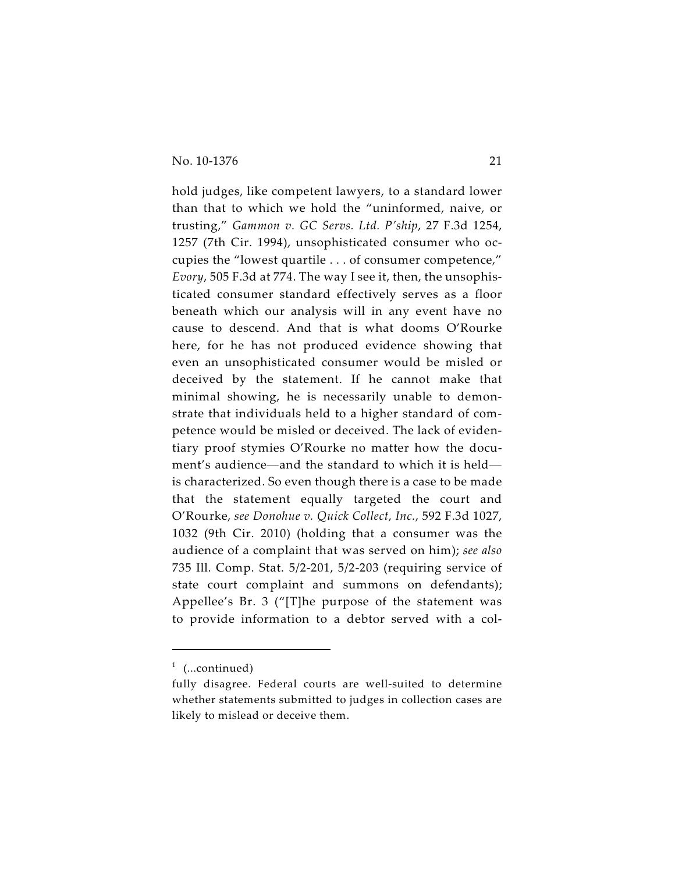hold judges, like competent lawyers, to a standard lower than that to which we hold the "uninformed, naive, or trusting," *Gammon v. GC Servs. Ltd. P'ship*, 27 F.3d 1254, 1257 (7th Cir. 1994), unsophisticated consumer who occupies the "lowest quartile . . . of consumer competence," *Evory*, 505 F.3d at 774. The way I see it, then, the unsophisticated consumer standard effectively serves as a floor beneath which our analysis will in any event have no cause to descend. And that is what dooms O'Rourke here, for he has not produced evidence showing that even an unsophisticated consumer would be misled or deceived by the statement. If he cannot make that minimal showing, he is necessarily unable to demonstrate that individuals held to a higher standard of competence would be misled or deceived. The lack of evidentiary proof stymies O'Rourke no matter how the document's audience—and the standard to which it is held is characterized. So even though there is a case to be made that the statement equally targeted the court and O'Rourke, *see Donohue v. Quick Collect, Inc.*, 592 F.3d 1027, 1032 (9th Cir. 2010) (holding that a consumer was the audience of a complaint that was served on him); *see also* 735 Ill. Comp. Stat. 5/2-201, 5/2-203 (requiring service of state court complaint and summons on defendants); Appellee's Br. 3 ("[T]he purpose of the statement was to provide information to a debtor served with a col-

 $1$  (...continued)

fully disagree. Federal courts are well-suited to determine whether statements submitted to judges in collection cases are likely to mislead or deceive them.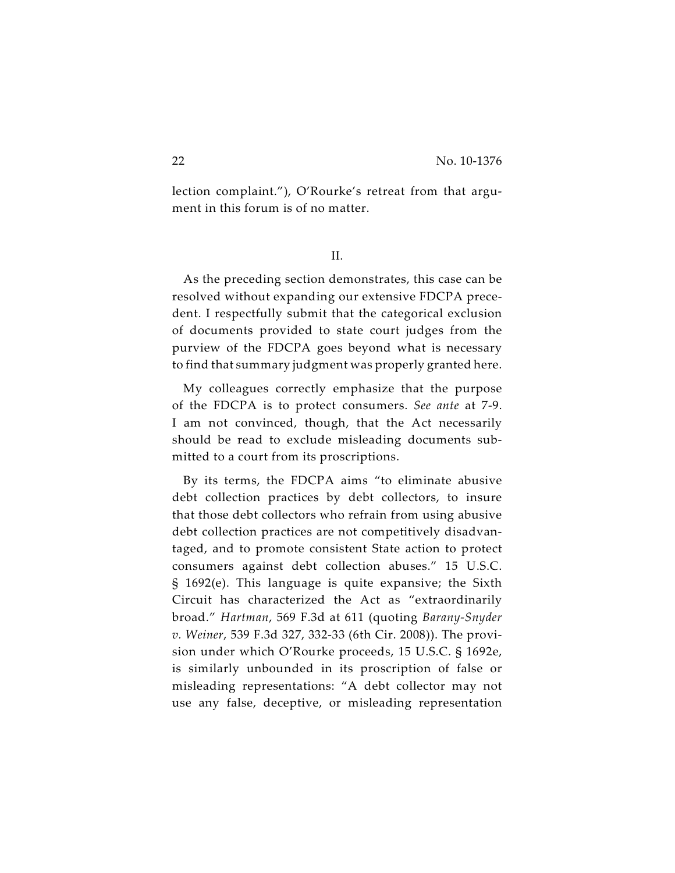lection complaint."), O'Rourke's retreat from that argument in this forum is of no matter.

II.

As the preceding section demonstrates, this case can be resolved without expanding our extensive FDCPA precedent. I respectfully submit that the categorical exclusion of documents provided to state court judges from the purview of the FDCPA goes beyond what is necessary to find that summary judgment was properly granted here.

My colleagues correctly emphasize that the purpose of the FDCPA is to protect consumers. *See ante* at 7-9. I am not convinced, though, that the Act necessarily should be read to exclude misleading documents submitted to a court from its proscriptions.

By its terms, the FDCPA aims "to eliminate abusive debt collection practices by debt collectors, to insure that those debt collectors who refrain from using abusive debt collection practices are not competitively disadvantaged, and to promote consistent State action to protect consumers against debt collection abuses." 15 U.S.C. § 1692(e). This language is quite expansive; the Sixth Circuit has characterized the Act as "extraordinarily broad." *Hartman*, 569 F.3d at 611 (quoting *Barany-Snyder v. Weiner*, 539 F.3d 327, 332-33 (6th Cir. 2008)). The provision under which O'Rourke proceeds, 15 U.S.C. § 1692e, is similarly unbounded in its proscription of false or misleading representations: "A debt collector may not use any false, deceptive, or misleading representation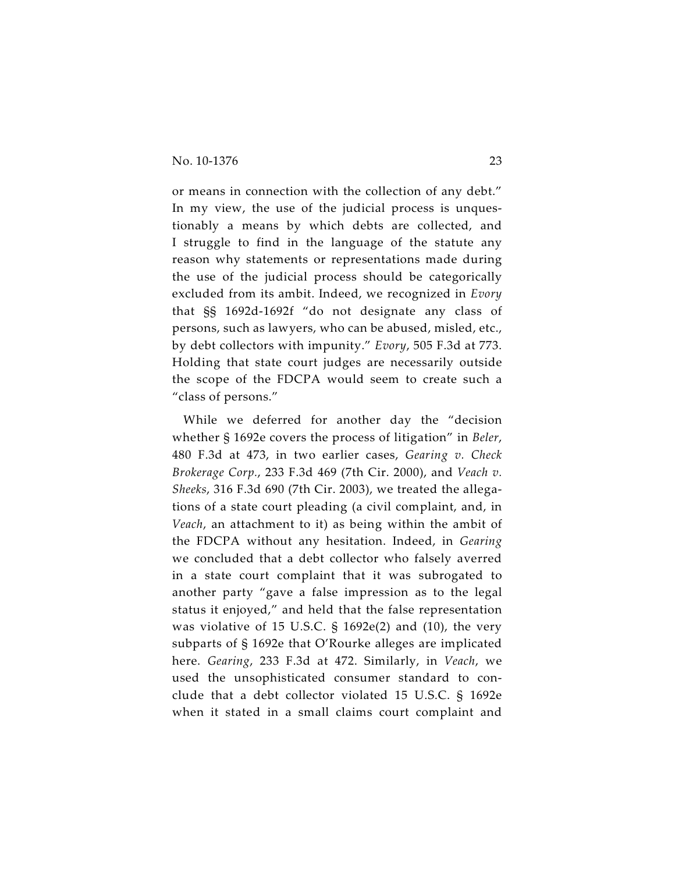or means in connection with the collection of any debt." In my view, the use of the judicial process is unquestionably a means by which debts are collected, and I struggle to find in the language of the statute any reason why statements or representations made during the use of the judicial process should be categorically excluded from its ambit. Indeed, we recognized in *Evory* that §§ 1692d-1692f "do not designate any class of persons, such as lawyers, who can be abused, misled, etc., by debt collectors with impunity." *Evory*, 505 F.3d at 773. Holding that state court judges are necessarily outside the scope of the FDCPA would seem to create such a "class of persons."

While we deferred for another day the "decision whether § 1692e covers the process of litigation" in *Beler*, 480 F.3d at 473, in two earlier cases, *Gearing v. Check Brokerage Corp.*, 233 F.3d 469 (7th Cir. 2000), and *Veach v. Sheeks*, 316 F.3d 690 (7th Cir. 2003), we treated the allegations of a state court pleading (a civil complaint, and, in *Veach*, an attachment to it) as being within the ambit of the FDCPA without any hesitation. Indeed, in *Gearing* we concluded that a debt collector who falsely averred in a state court complaint that it was subrogated to another party "gave a false impression as to the legal status it enjoyed," and held that the false representation was violative of 15 U.S.C. § 1692e(2) and (10), the very subparts of § 1692e that O'Rourke alleges are implicated here. *Gearing*, 233 F.3d at 472. Similarly, in *Veach*, we used the unsophisticated consumer standard to conclude that a debt collector violated 15 U.S.C. § 1692e when it stated in a small claims court complaint and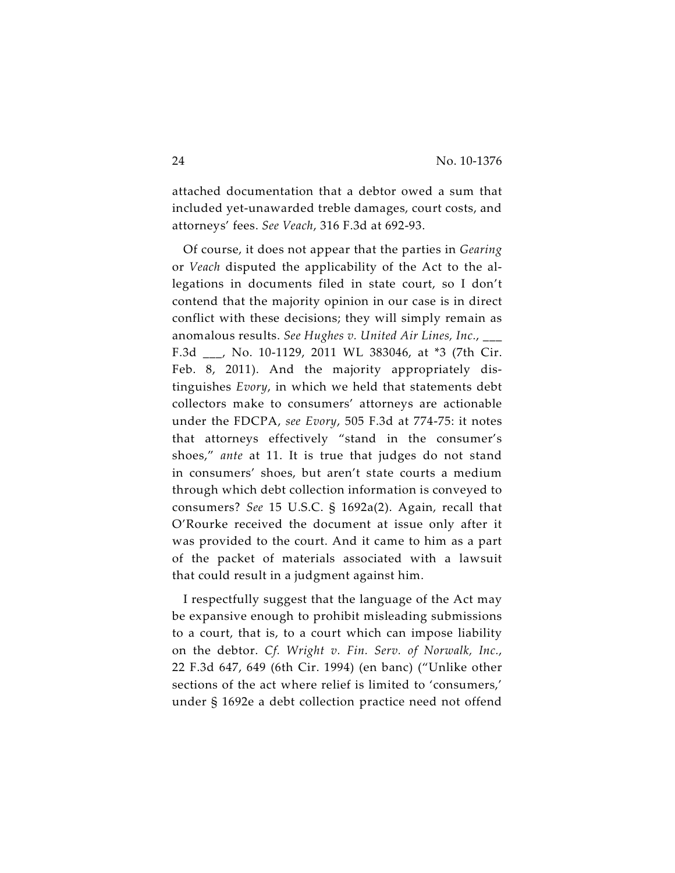attached documentation that a debtor owed a sum that included yet-unawarded treble damages, court costs, and attorneys' fees. *See Veach*, 316 F.3d at 692-93.

Of course, it does not appear that the parties in *Gearing* or *Veach* disputed the applicability of the Act to the allegations in documents filed in state court, so I don't contend that the majority opinion in our case is in direct conflict with these decisions; they will simply remain as anomalous results. *See Hughes v. United Air Lines, Inc.*, \_\_\_ F.3d \_\_\_, No. 10-1129, 2011 WL 383046, at \*3 (7th Cir. Feb. 8, 2011). And the majority appropriately distinguishes *Evory*, in which we held that statements debt collectors make to consumers' attorneys are actionable under the FDCPA, *see Evory*, 505 F.3d at 774-75: it notes that attorneys effectively "stand in the consumer's shoes," *ante* at 11. It is true that judges do not stand in consumers' shoes, but aren't state courts a medium through which debt collection information is conveyed to consumers? *See* 15 U.S.C. § 1692a(2). Again, recall that O'Rourke received the document at issue only after it was provided to the court. And it came to him as a part of the packet of materials associated with a lawsuit that could result in a judgment against him.

I respectfully suggest that the language of the Act may be expansive enough to prohibit misleading submissions to a court, that is, to a court which can impose liability on the debtor. *Cf. Wright v. Fin. Serv. of Norwalk, Inc.*, 22 F.3d 647, 649 (6th Cir. 1994) (en banc) ("Unlike other sections of the act where relief is limited to 'consumers,' under § 1692e a debt collection practice need not offend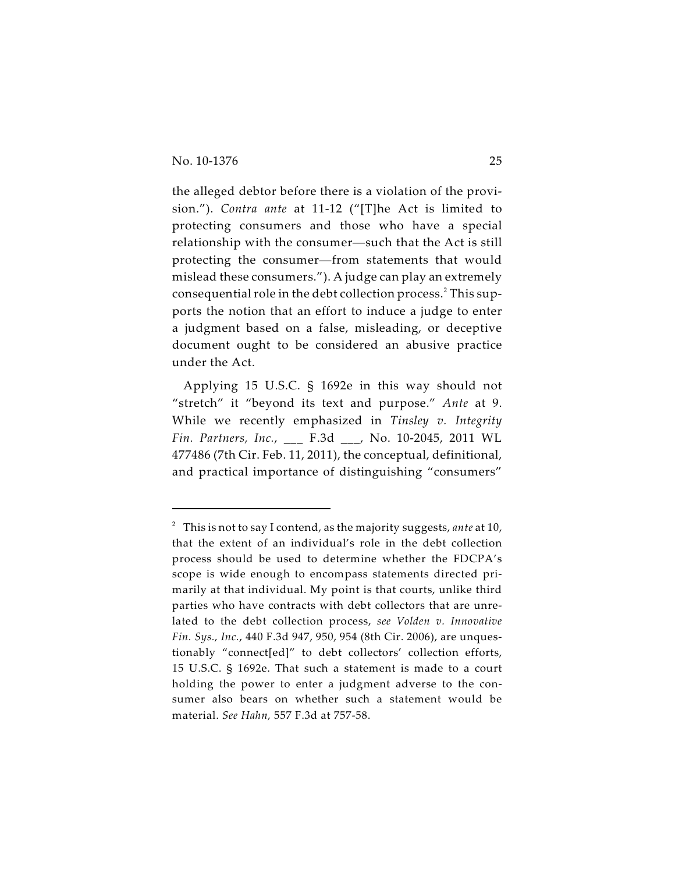the alleged debtor before there is a violation of the provision."). *Contra ante* at 11-12 ("[T]he Act is limited to protecting consumers and those who have a special relationship with the consumer—such that the Act is still protecting the consumer—from statements that would mislead these consumers."). A judge can play an extremely consequential role in the debt collection process.<sup>2</sup> This supports the notion that an effort to induce a judge to enter a judgment based on a false, misleading, or deceptive document ought to be considered an abusive practice under the Act.

Applying 15 U.S.C. § 1692e in this way should not "stretch" it "beyond its text and purpose." *Ante* at 9. While we recently emphasized in *Tinsley v. Integrity Fin. Partners, Inc.*, \_\_\_ F.3d \_\_\_, No. 10-2045, 2011 WL 477486 (7th Cir. Feb. 11, 2011), the conceptual, definitional, and practical importance of distinguishing "consumers"

This is not to say I contend, as the majority suggests, *ante* at 10, <sup>2</sup> that the extent of an individual's role in the debt collection process should be used to determine whether the FDCPA's scope is wide enough to encompass statements directed primarily at that individual. My point is that courts, unlike third parties who have contracts with debt collectors that are unrelated to the debt collection process, *see Volden v. Innovative Fin. Sys., Inc.*, 440 F.3d 947, 950, 954 (8th Cir. 2006), are unquestionably "connect[ed]" to debt collectors' collection efforts, 15 U.S.C. § 1692e. That such a statement is made to a court holding the power to enter a judgment adverse to the consumer also bears on whether such a statement would be material. *See Hahn,* 557 F.3d at 757-58.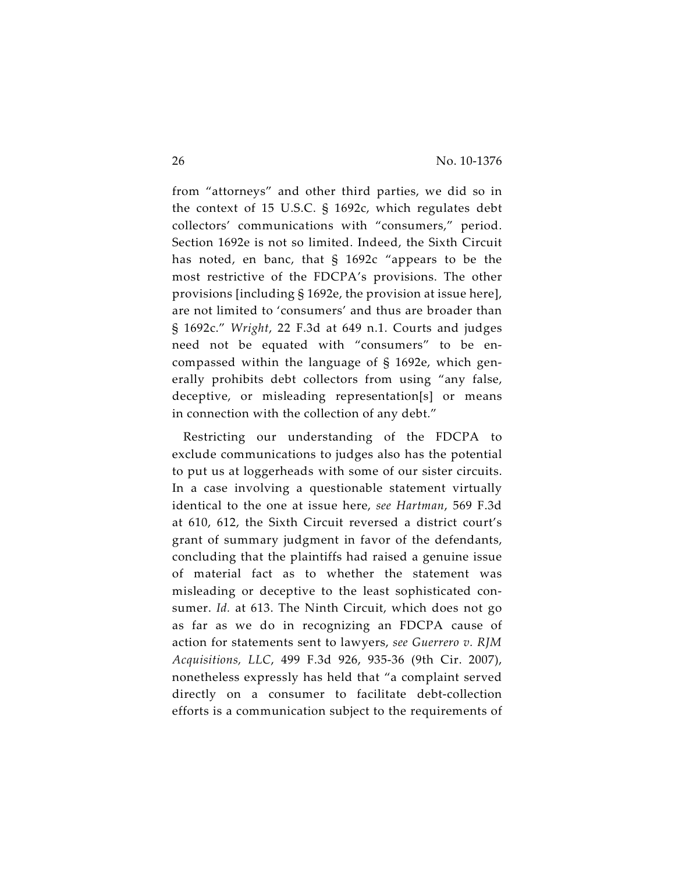from "attorneys" and other third parties, we did so in the context of 15 U.S.C. § 1692c, which regulates debt collectors' communications with "consumers," period. Section 1692e is not so limited. Indeed, the Sixth Circuit has noted, en banc, that § 1692c "appears to be the most restrictive of the FDCPA's provisions. The other provisions [including § 1692e, the provision at issue here], are not limited to 'consumers' and thus are broader than § 1692c." *Wright*, 22 F.3d at 649 n.1. Courts and judges need not be equated with "consumers" to be encompassed within the language of § 1692e, which generally prohibits debt collectors from using "any false, deceptive, or misleading representation[s] or means in connection with the collection of any debt."

Restricting our understanding of the FDCPA to exclude communications to judges also has the potential to put us at loggerheads with some of our sister circuits. In a case involving a questionable statement virtually identical to the one at issue here, *see Hartman*, 569 F.3d at 610, 612, the Sixth Circuit reversed a district court's grant of summary judgment in favor of the defendants, concluding that the plaintiffs had raised a genuine issue of material fact as to whether the statement was misleading or deceptive to the least sophisticated consumer. *Id.* at 613. The Ninth Circuit, which does not go as far as we do in recognizing an FDCPA cause of action for statements sent to lawyers, *see Guerrero v. RJM Acquisitions, LLC*, 499 F.3d 926, 935-36 (9th Cir. 2007), nonetheless expressly has held that "a complaint served directly on a consumer to facilitate debt-collection efforts is a communication subject to the requirements of